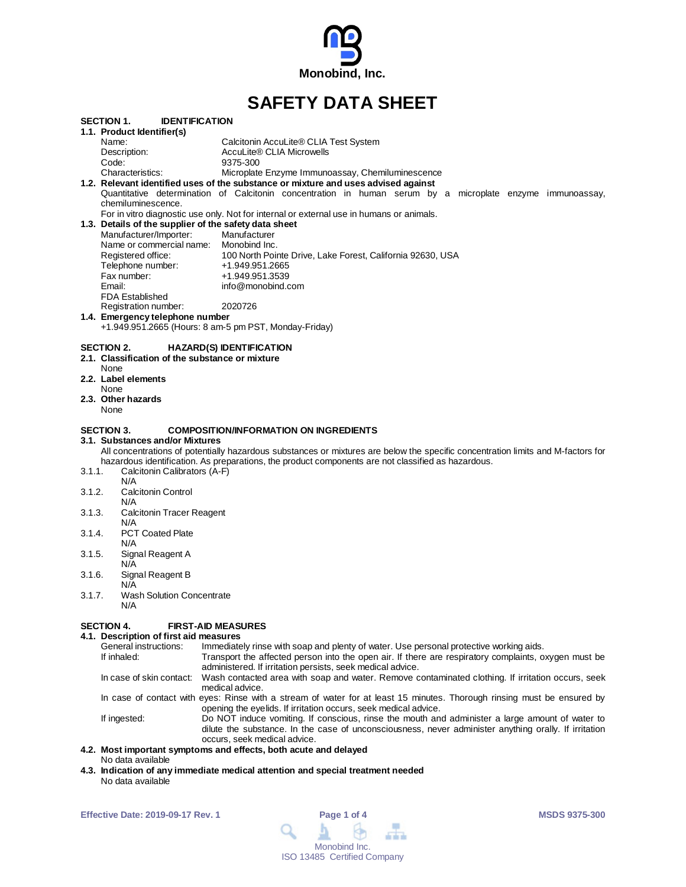

# **SAFETY DATA SHEET**

|        | SECTION 1.<br><b>IDENTIFICATION</b>                   |                                                                                                                                  |
|--------|-------------------------------------------------------|----------------------------------------------------------------------------------------------------------------------------------|
|        | 1.1. Product Identifier(s)                            |                                                                                                                                  |
|        | Name:                                                 | Calcitonin AccuLite® CLIA Test System                                                                                            |
|        | Description:                                          | AccuLite® CLIA Microwells                                                                                                        |
|        | Code:                                                 | 9375-300                                                                                                                         |
|        | Characteristics:                                      | Microplate Enzyme Immunoassay, Chemiluminescence                                                                                 |
|        |                                                       | 1.2. Relevant identified uses of the substance or mixture and uses advised against                                               |
|        |                                                       | Quantitative determination of Calcitonin concentration in human serum by a microplate enzyme immunoassay,                        |
|        | chemiluminescence.                                    |                                                                                                                                  |
|        |                                                       | For in vitro diagnostic use only. Not for internal or external use in humans or animals.                                         |
|        | 1.3. Details of the supplier of the safety data sheet |                                                                                                                                  |
|        | Manufacturer/Importer:                                | Manufacturer                                                                                                                     |
|        | Name or commercial name: Monobind Inc.                |                                                                                                                                  |
|        | Registered office:                                    | 100 North Pointe Drive, Lake Forest, California 92630, USA                                                                       |
|        | Telephone number:                                     | +1.949.951.2665                                                                                                                  |
|        | Fax number:                                           | +1.949.951.3539                                                                                                                  |
|        | Email:                                                | info@monobind.com                                                                                                                |
|        | <b>FDA Established</b><br>Registration number:        | 2020726                                                                                                                          |
|        | 1.4. Emergency telephone number                       |                                                                                                                                  |
|        |                                                       | +1.949.951.2665 (Hours: 8 am-5 pm PST, Monday-Friday)                                                                            |
|        |                                                       |                                                                                                                                  |
|        | SECTION 2.                                            | <b>HAZARD(S) IDENTIFICATION</b>                                                                                                  |
|        | 2.1. Classification of the substance or mixture       |                                                                                                                                  |
|        | None                                                  |                                                                                                                                  |
|        | 2.2. Label elements                                   |                                                                                                                                  |
|        | None                                                  |                                                                                                                                  |
|        | 2.3. Other hazards                                    |                                                                                                                                  |
|        | None                                                  |                                                                                                                                  |
|        |                                                       |                                                                                                                                  |
|        | SECTION 3.                                            | <b>COMPOSITION/INFORMATION ON INGREDIENTS</b>                                                                                    |
|        | 3.1.Substances and/or Mixtures                        |                                                                                                                                  |
|        |                                                       | All concentrations of potentially hazardous substances or mixtures are below the specific concentration limits and M-factors for |
|        |                                                       | hazardous identification. As preparations, the product components are not classified as hazardous.                               |
| 3.1.1. | Calcitonin Calibrators (A-F)                          |                                                                                                                                  |
|        | N/A                                                   |                                                                                                                                  |
| 3.1.2. | <b>Calcitonin Control</b>                             |                                                                                                                                  |
| 3.1.3. | N/A                                                   |                                                                                                                                  |
|        | <b>Calcitonin Tracer Reagent</b><br>N/A               |                                                                                                                                  |
| 3.1.4. | <b>PCT Coated Plate</b>                               |                                                                                                                                  |
|        | N/A                                                   |                                                                                                                                  |
| 3.1.5. | Signal Reagent A                                      |                                                                                                                                  |
|        | N/A                                                   |                                                                                                                                  |
| 3.1.6. | Signal Reagent B                                      |                                                                                                                                  |
|        | N/A                                                   |                                                                                                                                  |
|        |                                                       |                                                                                                                                  |

3.1.7. Wash Solution Concentrate

N/A

#### **SECTION 4. FIRST-AID MEASURES**

**4.1. Description of first aid measures** General instructions: Immediately rinse with soap and plenty of water. Use personal protective working aids.<br>If inhaled: Transport the affected person into the open air. If there are respiratory complaints, o Transport the affected person into the open air. If there are respiratory complaints, oxygen must be administered. If irritation persists, seek medical advice. In case of skin contact: Wash contacted area with soap and water. Remove contaminated clothing. If irritation occurs, seek medical advice. In case of contact with eyes: Rinse with a stream of water for at least 15 minutes. Thorough rinsing must be ensured by opening the eyelids. If irritation occurs, seek medical advice. If ingested: Do NOT induce vomiting. If conscious, rinse the mouth and administer a large amount of water to dilute the substance. In the case of unconsciousness, never administer anything orally. If irritation occurs, seek medical advice.

#### **4.2. Most important symptoms and effects, both acute and delayed** No data available

**4.3. Indication of any immediate medical attention and special treatment needed** No data available

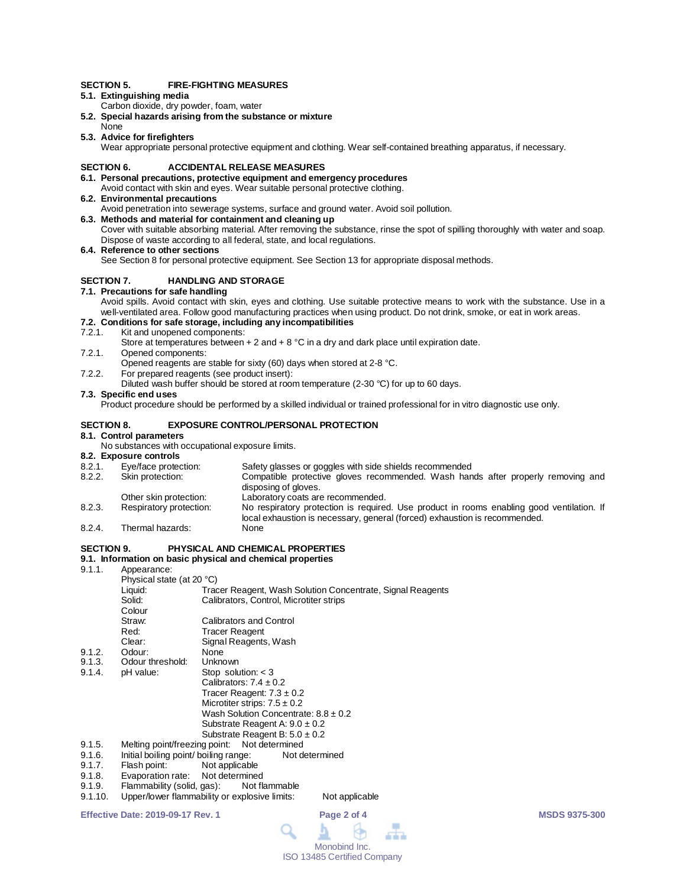#### **SECTION 5. FIRE-FIGHTING MEASURES**

## **5.1. Extinguishing media**

- Carbon dioxide, dry powder, foam, water
- **5.2. Special hazards arising from the substance or mixture**
- None **5.3. Advice for firefighters**

Wear appropriate personal protective equipment and clothing. Wear self-contained breathing apparatus, if necessary.

#### **SECTION 6. ACCIDENTAL RELEASE MEASURES**

#### **6.1. Personal precautions, protective equipment and emergency procedures**

- Avoid contact with skin and eyes. Wear suitable personal protective clothing. **6.2. Environmental precautions**
	- Avoid penetration into sewerage systems, surface and ground water. Avoid soil pollution.
- **6.3. Methods and material for containment and cleaning up** Cover with suitable absorbing material. After removing the substance, rinse the spot of spilling thoroughly with water and soap.

Dispose of waste according to all federal, state, and local regulations.

**6.4. Reference to other sections**

See Section 8 for personal protective equipment. See Section 13 for appropriate disposal methods.

#### **SECTION 7. HANDLING AND STORAGE**

#### **7.1. Precautions for safe handling**

Avoid spills. Avoid contact with skin, eyes and clothing. Use suitable protective means to work with the substance. Use in a well-ventilated area. Follow good manufacturing practices when using product. Do not drink, smoke, or eat in work areas.

## **7.2. Conditions for safe storage, including any incompatibilities**

7.2.1. Kit and unopened components:

Store at temperatures between  $+ 2$  and  $+ 8$  °C in a dry and dark place until expiration date.

- 7.2.1. Opened components: Opened reagents are stable for sixty (60) days when stored at 2-8 °C.
- 7.2.2. For prepared reagents (see product insert):
	- Diluted wash buffer should be stored at room temperature (2-30 °C) for up to 60 days.

#### **7.3. Specific end uses**

Product procedure should be performed by a skilled individual or trained professional for in vitro diagnostic use only.

#### **SECTION 8. EXPOSURE CONTROL/PERSONAL PROTECTION**

#### **8.1. Control parameters**

No substances with occupational exposure limits.

# **8.2. Exposure controls**

- 8.2.1. Eye/face protection: Safety glasses or goggles with side shields recommended<br>8.2.2. Skin protection: Compatible protective gloves recommended. Wash han
- Compatible protective gloves recommended. Wash hands after properly removing and disposing of gloves.
- Other skin protection: Laboratory coats are recommended.<br>
Respiratory protection: No respiratory protection is required 8.2.3. Respiratory protection: No respiratory protection is required. Use product in rooms enabling good ventilation. If local exhaustion is necessary, general (forced) exhaustion is recommended.
- 8.2.4. Thermal hazards: None

### **SECTION 9. PHYSICAL AND CHEMICAL PROPERTIES**

#### **9.1. Information on basic physical and chemical properties**

9.1.1. Appearance:

|        | Physical state (at 20 °C)                               |                                                            |  |  |
|--------|---------------------------------------------------------|------------------------------------------------------------|--|--|
|        | Liquid:                                                 | Tracer Reagent, Wash Solution Concentrate, Signal Reagents |  |  |
|        | Solid:                                                  | Calibrators, Control, Microtiter strips                    |  |  |
|        | Colour                                                  |                                                            |  |  |
|        | Straw:                                                  | Calibrators and Control                                    |  |  |
|        | Red:                                                    | Tracer Reagent                                             |  |  |
|        | Clear:                                                  | Signal Reagents, Wash                                      |  |  |
| 9.1.2. | Odour:                                                  | None                                                       |  |  |
| 9.1.3. | Odour threshold:                                        | Unknown                                                    |  |  |
| 9.1.4. | pH value:                                               | Stop solution: $<$ 3                                       |  |  |
|        |                                                         | Calibrators: $7.4 \pm 0.2$                                 |  |  |
|        |                                                         | Tracer Reagent: $7.3 \pm 0.2$                              |  |  |
|        |                                                         | Microtiter strips: $7.5 \pm 0.2$                           |  |  |
|        |                                                         | Wash Solution Concentrate: $8.8 \pm 0.2$                   |  |  |
|        |                                                         | Substrate Reagent A: $9.0 \pm 0.2$                         |  |  |
|        |                                                         | Substrate Reagent B: $5.0 \pm 0.2$                         |  |  |
| 9.1.5. | Melting point/freezing point: Not determined            |                                                            |  |  |
| 9.1.6. | Initial boiling point/ boiling range:<br>Not determined |                                                            |  |  |
| 9.1.7. | Flash point:                                            | Not applicable                                             |  |  |
| 9.1.8. | Evaporation rate: Not determined                        |                                                            |  |  |

- 9.1.8. Evaporation rate: Not determined
- 9.1.9. Flammability (solid, gas): Not flammable<br>9.1.10. Upper/lower flammability or explosive limits:
- Upper/lower flammability or explosive limits: Not applicable

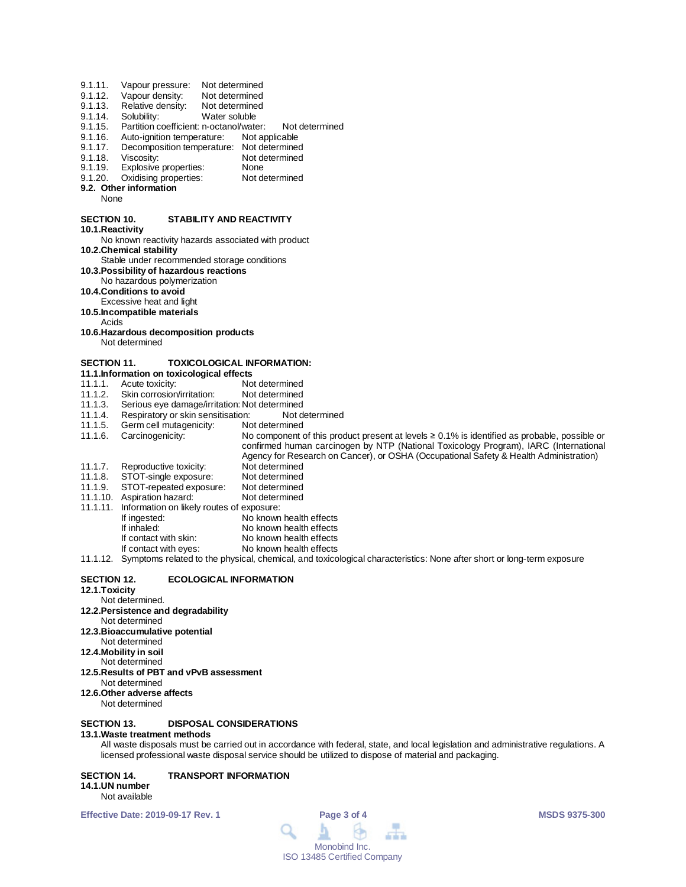| Not determined<br>Not determined                                                                                                                                                                                                                                                    |
|-------------------------------------------------------------------------------------------------------------------------------------------------------------------------------------------------------------------------------------------------------------------------------------|
|                                                                                                                                                                                                                                                                                     |
| Not determined                                                                                                                                                                                                                                                                      |
| Water soluble                                                                                                                                                                                                                                                                       |
| Partition coefficient: n-octanol/water:<br>Not determined                                                                                                                                                                                                                           |
| Not applicable                                                                                                                                                                                                                                                                      |
| Decomposition temperature: Not determined                                                                                                                                                                                                                                           |
| Not determined                                                                                                                                                                                                                                                                      |
| None                                                                                                                                                                                                                                                                                |
| Not determined                                                                                                                                                                                                                                                                      |
|                                                                                                                                                                                                                                                                                     |
| STABILITY AND REACTIVITY                                                                                                                                                                                                                                                            |
|                                                                                                                                                                                                                                                                                     |
| No known reactivity hazards associated with product                                                                                                                                                                                                                                 |
| Stable under recommended storage conditions                                                                                                                                                                                                                                         |
| 10.3. Possibility of hazardous reactions                                                                                                                                                                                                                                            |
|                                                                                                                                                                                                                                                                                     |
|                                                                                                                                                                                                                                                                                     |
|                                                                                                                                                                                                                                                                                     |
|                                                                                                                                                                                                                                                                                     |
| 10.6. Hazardous decomposition products                                                                                                                                                                                                                                              |
|                                                                                                                                                                                                                                                                                     |
| <b>TOXICOLOGICAL INFORMATION:</b>                                                                                                                                                                                                                                                   |
| 11.1. Information on toxicological effects                                                                                                                                                                                                                                          |
| Not determined                                                                                                                                                                                                                                                                      |
| Not determined                                                                                                                                                                                                                                                                      |
| Serious eye damage/irritation: Not determined                                                                                                                                                                                                                                       |
| Respiratory or skin sensitisation:<br>Not determined                                                                                                                                                                                                                                |
| Not determined                                                                                                                                                                                                                                                                      |
| No component of this product present at levels $\geq 0.1\%$ is identified as probable, possible or<br>confirmed human carcinogen by NTP (National Toxicology Program), IARC (International<br>Agency for Research on Cancer), or OSHA (Occupational Safety & Health Administration) |
| Not determined                                                                                                                                                                                                                                                                      |
| Not determined                                                                                                                                                                                                                                                                      |
| Not determined                                                                                                                                                                                                                                                                      |
| Not determined                                                                                                                                                                                                                                                                      |
| Information on likely routes of exposure:                                                                                                                                                                                                                                           |
| No known health effects                                                                                                                                                                                                                                                             |
| No known health effects                                                                                                                                                                                                                                                             |
| No known health effects                                                                                                                                                                                                                                                             |
| No known health effects                                                                                                                                                                                                                                                             |
| 11.1.12. Symptoms related to the physical, chemical, and toxicological characteristics: None after short or long-term exposure                                                                                                                                                      |
| <b>ECOLOGICAL INFORMATION</b>                                                                                                                                                                                                                                                       |
|                                                                                                                                                                                                                                                                                     |

- 
- Not determined.
- **12.2.Persistence and degradability** Not determined
- **12.3.Bioaccumulative potential**
- Not determined
- **12.4.Mobility in soil**
- Not determined
- **12.5.Results of PBT and vPvB assessment**
- Not determined **12.6.Other adverse affects**
- Not determined

# **SECTION 13. DISPOSAL CONSIDERATIONS**

# **13.1.Waste treatment methods**

All waste disposals must be carried out in accordance with federal, state, and local legislation and administrative regulations. A licensed professional waste disposal service should be utilized to dispose of material and packaging.

# **SECTION 14. TRANSPORT INFORMATION**

#### **14.1.UN number** Not available